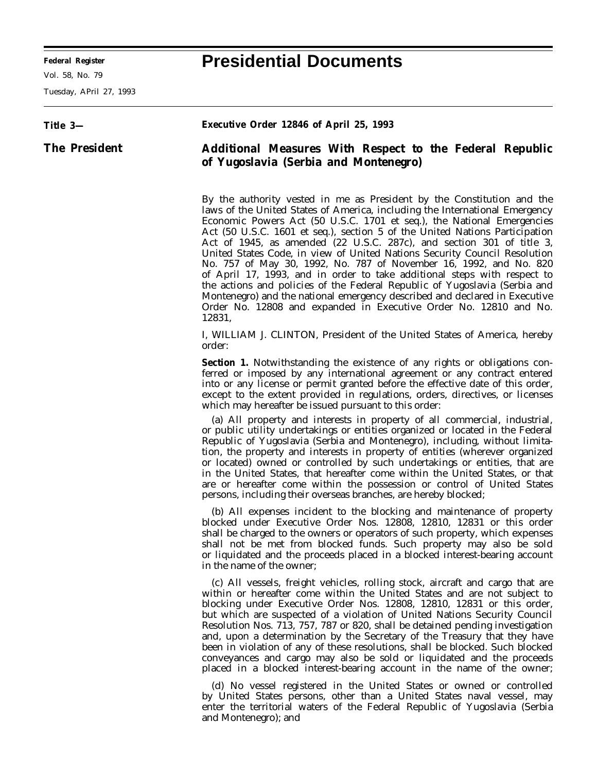-

Vol. 58, No. 79

Tuesday, APril 27, 1993

## **Federal Register Presidential Documents**

۰

| Title 3-             | Executive Order 12846 of April 25, 1993                                                                                                                                                                                                                                                                                                                                                                                                                                                                                                                                                                                                                                                                                                                                                                                                                                   |
|----------------------|---------------------------------------------------------------------------------------------------------------------------------------------------------------------------------------------------------------------------------------------------------------------------------------------------------------------------------------------------------------------------------------------------------------------------------------------------------------------------------------------------------------------------------------------------------------------------------------------------------------------------------------------------------------------------------------------------------------------------------------------------------------------------------------------------------------------------------------------------------------------------|
| <b>The President</b> | Additional Measures With Respect to the Federal Republic<br>of Yugoslavia (Serbia and Montenegro)                                                                                                                                                                                                                                                                                                                                                                                                                                                                                                                                                                                                                                                                                                                                                                         |
|                      | By the authority vested in me as President by the Constitution and the<br>laws of the United States of America, including the International Emergency<br>Economic Powers Act (50 U.S.C. 1701 et seq.), the National Emergencies<br>Act (50 U.S.C. 1601 <i>et seq.</i> ), section 5 of the United Nations Participation<br>Act of 1945, as amended (22 U.S.C. 287c), and section 301 of title 3,<br>United States Code, in view of United Nations Security Council Resolution<br>No. 757 of May 30, 1992, No. 787 of November 16, 1992, and No. 820<br>of April 17, 1993, and in order to take additional steps with respect to<br>the actions and policies of the Federal Republic of Yugoslavia (Serbia and<br>Montenegro) and the national emergency described and declared in Executive<br>Order No. 12808 and expanded in Executive Order No. 12810 and No.<br>12831, |
|                      | I, WILLIAM J. CLINTON, President of the United States of America, hereby<br>order:                                                                                                                                                                                                                                                                                                                                                                                                                                                                                                                                                                                                                                                                                                                                                                                        |
|                      | <b>Section 1.</b> Notwithstanding the existence of any rights or obligations con-<br>ferred or imposed by any international agreement or any contract entered<br>into or any license or permit granted before the effective date of this order,<br>except to the extent provided in regulations, orders, directives, or licenses<br>which may hereafter be issued pursuant to this order:                                                                                                                                                                                                                                                                                                                                                                                                                                                                                 |
|                      | (a) All property and interests in property of all commercial, industrial,<br>or public utility undertakings or entities organized or located in the Federal<br>Republic of Yugoslavia (Serbia and Montenegro), including, without limita-<br>tion, the property and interests in property of entities (wherever organized<br>or located) owned or controlled by such undertakings or entities, that are<br>in the United States, that hereafter come within the United States, or that<br>are or hereafter come within the possession or control of United States<br>persons, including their overseas branches, are hereby blocked;                                                                                                                                                                                                                                      |
|                      | (b) All expenses incident to the blocking and maintenance of property<br>blocked under Executive Order Nos. 12808, 12810, 12831 or this order<br>shall be charged to the owners or operators of such property, which expenses<br>shall not be met from blocked funds. Such property may also be sold<br>or liquidated and the proceeds placed in a blocked interest-bearing account<br>in the name of the owner;                                                                                                                                                                                                                                                                                                                                                                                                                                                          |
|                      | (c) All vessels, freight vehicles, rolling stock, aircraft and cargo that are<br>within or hereafter come within the United States and are not subject to<br>blocking under Executive Order Nos. 12808, 12810, 12831 or this order,<br>but which are suspected of a violation of United Nations Security Council<br>Resolution Nos. 713, 757, 787 or 820, shall be detained pending investigation<br>and, upon a determination by the Secretary of the Treasury that they have<br>been in violation of any of these resolutions, shall be blocked. Such blocked<br>conveyances and cargo may also be sold or liquidated and the proceeds<br>placed in a blocked interest-bearing account in the name of the owner;                                                                                                                                                        |
|                      | (d) No vessel registered in the United States or owned or controlled<br>by United States persons, other than a United States naval vessel, may<br>enter the territorial waters of the Federal Republic of Yugoslavia (Serbia<br>and Montenegro); and                                                                                                                                                                                                                                                                                                                                                                                                                                                                                                                                                                                                                      |